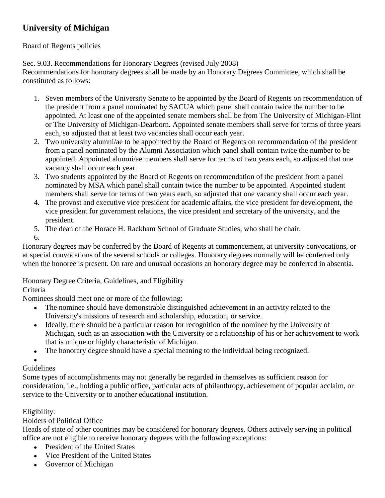# **University of Michigan**

## Board of Regents policies

Sec. 9.03. Recommendations for Honorary Degrees (revised July 2008) Recommendations for honorary degrees shall be made by an Honorary Degrees Committee, which shall be constituted as follows:

- 1. Seven members of the University Senate to be appointed by the Board of Regents on recommendation of the president from a panel nominated by SACUA which panel shall contain twice the number to be appointed. At least one of the appointed senate members shall be from The University of Michigan-Flint or The University of Michigan-Dearborn. Appointed senate members shall serve for terms of three years each, so adjusted that at least two vacancies shall occur each year.
- 2. Two university alumni/ae to be appointed by the Board of Regents on recommendation of the president from a panel nominated by the Alumni Association which panel shall contain twice the number to be appointed. Appointed alumni/ae members shall serve for terms of two years each, so adjusted that one vacancy shall occur each year.
- 3. Two students appointed by the Board of Regents on recommendation of the president from a panel nominated by MSA which panel shall contain twice the number to be appointed. Appointed student members shall serve for terms of two years each, so adjusted that one vacancy shall occur each year.
- 4. The provost and executive vice president for academic affairs, the vice president for development, the vice president for government relations, the vice president and secretary of the university, and the president.
- 5. The dean of the Horace H. Rackham School of Graduate Studies, who shall be chair.
- 6.

Honorary degrees may be conferred by the Board of Regents at commencement, at university convocations, or at special convocations of the several schools or colleges. Honorary degrees normally will be conferred only when the honoree is present. On rare and unusual occasions an honorary degree may be conferred in absentia.

Honorary Degree Criteria, Guidelines, and Eligibility

# Criteria

Nominees should meet one or more of the following:

- The nominee should have demonstrable distinguished achievement in an activity related to the  $\bullet$ University's missions of research and scholarship, education, or service.
- Ideally, there should be a particular reason for recognition of the nominee by the University of Michigan, such as an association with the University or a relationship of his or her achievement to work that is unique or highly characteristic of Michigan.
- The honorary degree should have a special meaning to the individual being recognized.  $\bullet$
- 

### Guidelines

Some types of accomplishments may not generally be regarded in themselves as sufficient reason for consideration, i.e., holding a public office, particular acts of philanthropy, achievement of popular acclaim, or service to the University or to another educational institution.

# Eligibility:

# Holders of Political Office

Heads of state of other countries may be considered for honorary degrees. Others actively serving in political office are not eligible to receive honorary degrees with the following exceptions:

- President of the United States  $\bullet$
- Vice President of the United States  $\bullet$
- Governor of Michigan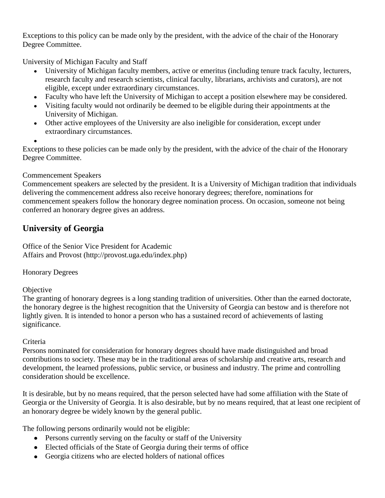Exceptions to this policy can be made only by the president, with the advice of the chair of the Honorary Degree Committee.

University of Michigan Faculty and Staff

- University of Michigan faculty members, active or emeritus (including tenure track faculty, lecturers, research faculty and research scientists, clinical faculty, librarians, archivists and curators), are not eligible, except under extraordinary circumstances.
- Faculty who have left the University of Michigan to accept a position elsewhere may be considered.
- Visiting faculty would not ordinarily be deemed to be eligible during their appointments at the University of Michigan.
- Other active employees of the University are also ineligible for consideration, except under extraordinary circumstances.

Exceptions to these policies can be made only by the president, with the advice of the chair of the Honorary Degree Committee.

# Commencement Speakers

Commencement speakers are selected by the president. It is a University of Michigan tradition that individuals delivering the commencement address also receive honorary degrees; therefore, nominations for commencement speakers follow the honorary degree nomination process. On occasion, someone not being conferred an honorary degree gives an address.

# **University of Georgia**

Office of the Senior Vice President for Academic Affairs and Provost (http://provost.uga.edu/index.php)

Honorary Degrees

# **Objective**

The granting of honorary degrees is a long standing tradition of universities. Other than the earned doctorate, the honorary degree is the highest recognition that the University of Georgia can bestow and is therefore not lightly given. It is intended to honor a person who has a sustained record of achievements of lasting significance.

# Criteria

Persons nominated for consideration for honorary degrees should have made distinguished and broad contributions to society. These may be in the traditional areas of scholarship and creative arts, research and development, the learned professions, public service, or business and industry. The prime and controlling consideration should be excellence.

It is desirable, but by no means required, that the person selected have had some affiliation with the State of Georgia or the University of Georgia. It is also desirable, but by no means required, that at least one recipient of an honorary degree be widely known by the general public.

The following persons ordinarily would not be eligible:

- Persons currently serving on the faculty or staff of the University
- Elected officials of the State of Georgia during their terms of office
- Georgia citizens who are elected holders of national offices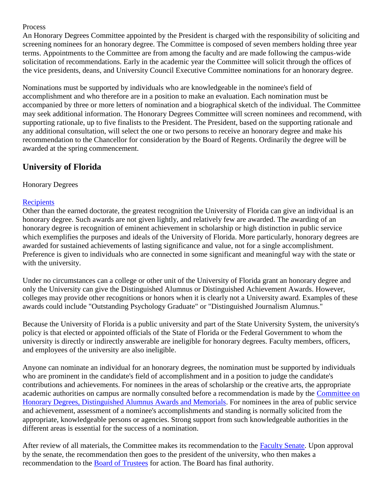#### Process

An Honorary Degrees Committee appointed by the President is charged with the responsibility of soliciting and screening nominees for an honorary degree. The Committee is composed of seven members holding three year terms. Appointments to the Committee are from among the faculty and are made following the campus-wide solicitation of recommendations. Early in the academic year the Committee will solicit through the offices of the vice presidents, deans, and University Council Executive Committee nominations for an honorary degree.

Nominations must be supported by individuals who are knowledgeable in the nominee's field of accomplishment and who therefore are in a position to make an evaluation. Each nomination must be accompanied by three or more letters of nomination and a biographical sketch of the individual. The Committee may seek additional information. The Honorary Degrees Committee will screen nominees and recommend, with supporting rationale, up to five finalists to the President. The President, based on the supporting rationale and any additional consultation, will select the one or two persons to receive an honorary degree and make his recommendation to the Chancellor for consideration by the Board of Regents. Ordinarily the degree will be awarded at the spring commencement.

# **University of Florida**

### Honorary Degrees

## **[Recipients](http://www.president.ufl.edu/hddesc.htm)**

Other than the earned doctorate, the greatest recognition the University of Florida can give an individual is an honorary degree. Such awards are not given lightly, and relatively few are awarded. The awarding of an honorary degree is recognition of eminent achievement in scholarship or high distinction in public service which exemplifies the purposes and ideals of the University of Florida. More particularly, honorary degrees are awarded for sustained achievements of lasting significance and value, not for a single accomplishment. Preference is given to individuals who are connected in some significant and meaningful way with the state or with the university.

Under no circumstances can a college or other unit of the University of Florida grant an honorary degree and only the University can give the Distinguished Alumnus or Distinguished Achievement Awards. However, colleges may provide other recognitions or honors when it is clearly not a University award. Examples of these awards could include "Outstanding Psychology Graduate" or "Distinguished Journalism Alumnus."

Because the University of Florida is a public university and part of the State University System, the university's policy is that elected or appointed officials of the State of Florida or the Federal Government to whom the university is directly or indirectly answerable are ineligible for honorary degrees. Faculty members, officers, and employees of the university are also ineligible.

Anyone can nominate an individual for an honorary degrees, the nomination must be supported by individuals who are prominent in the candidate's field of accomplishment and in a position to judge the candidate's contributions and achievements. For nominees in the areas of scholarship or the creative arts, the appropriate academic authorities on campus are normally consulted before a recommendation is made by the [Committee on](http://www.senate.ufl.edu/committees/honorary/)  [Honorary Degrees, Distinguished Alumnus Awards and Memorials.](http://www.senate.ufl.edu/committees/honorary/) For nominees in the area of public service and achievement, assessment of a nominee's accomplishments and standing is normally solicited from the appropriate, knowledgeable persons or agencies. Strong support from such knowledgeable authorities in the different areas is essential for the success of a nomination.

After review of all materials, the Committee makes its recommendation to the [Faculty Senate.](http://www.senate.ufl.edu/) Upon approval by the senate, the recommendation then goes to the president of the university, who then makes a recommendation to the [Board of Trustees](http://www.trustees.ufl.edu/) for action. The Board has final authority.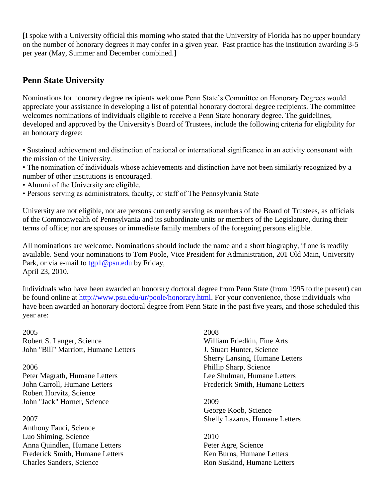[I spoke with a University official this morning who stated that the University of Florida has no upper boundary on the number of honorary degrees it may confer in a given year. Past practice has the institution awarding 3-5 per year (May, Summer and December combined.]

# **Penn State University**

Nominations for honorary degree recipients welcome Penn State's Committee on Honorary Degrees would appreciate your assistance in developing a list of potential honorary doctoral degree recipients. The committee welcomes nominations of individuals eligible to receive a Penn State honorary degree. The guidelines, developed and approved by the University's Board of Trustees, include the following criteria for eligibility for an honorary degree:

• Sustained achievement and distinction of national or international significance in an activity consonant with the mission of the University.

- The nomination of individuals whose achievements and distinction have not been similarly recognized by a number of other institutions is encouraged.
- Alumni of the University are eligible.
- Persons serving as administrators, faculty, or staff of The Pennsylvania State

University are not eligible, nor are persons currently serving as members of the Board of Trustees, as officials of the Commonwealth of Pennsylvania and its subordinate units or members of the Legislature, during their terms of office; nor are spouses or immediate family members of the foregoing persons eligible.

All nominations are welcome. Nominations should include the name and a short biography, if one is readily available. Send your nominations to Tom Poole, Vice President for Administration, 201 Old Main, University Park, or via e-mail to tgp1@psu.edu by Friday, April 23, 2010.

Individuals who have been awarded an honorary doctoral degree from Penn State (from 1995 to the present) can be found online at http://www.psu.edu/ur/poole/honorary.html. For your convenience, those individuals who have been awarded an honorary doctoral degree from Penn State in the past five years, and those scheduled this year are:

2005 Robert S. Langer, Science John "Bill" Marriott, Humane Letters

2006 Peter Magrath, Humane Letters John Carroll, Humane Letters Robert Horvitz, Science John "Jack" Horner, Science

2007 Anthony Fauci, Science Luo Shiming, Science Anna Quindlen, Humane Letters Frederick Smith, Humane Letters Charles Sanders, Science

2008 William Friedkin, Fine Arts J. Stuart Hunter, Science Sherry Lansing, Humane Letters Phillip Sharp, Science Lee Shulman, Humane Letters Frederick Smith, Humane Letters

2009 George Koob, Science Shelly Lazarus, Humane Letters

2010 Peter Agre, Science Ken Burns, Humane Letters Ron Suskind, Humane Letters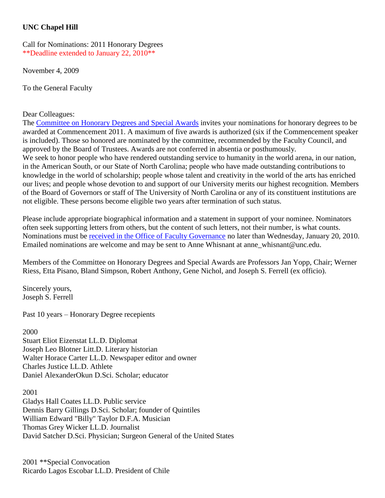## **UNC Chapel Hill**

Call for Nominations: 2011 Honorary Degrees \*\*Deadline extended to January 22, 2010\*\*

November 4, 2009

To the General Faculty

### Dear Colleagues:

The [Committee on Honorary Degrees and Special Awards](http://www.unc.edu/faculty/faccoun/committees/HDAMain.shtml) invites your nominations for honorary degrees to be awarded at Commencement 2011. A maximum of five awards is authorized (six if the Commencement speaker is included). Those so honored are nominated by the committee, recommended by the Faculty Council, and approved by the Board of Trustees. Awards are not conferred in absentia or posthumously. We seek to honor people who have rendered outstanding service to humanity in the world arena, in our nation, in the American South, or our State of North Carolina; people who have made outstanding contributions to knowledge in the world of scholarship; people whose talent and creativity in the world of the arts has enriched our lives; and people whose devotion to and support of our University merits our highest recognition. Members of the Board of Governors or staff of The University of North Carolina or any of its constituent institutions are not eligible. These persons become eligible two years after termination of such status.

Please include appropriate biographical information and a statement in support of your nominee. Nominators often seek supporting letters from others, but the content of such letters, not their number, is what counts. Nominations must be [received in the Office of Faculty Governance](http://www.unc.edu/faculty/faccoun/about/contact.shtml) no later than Wednesday, January 20, 2010. Emailed nominations are welcome and may be sent to Anne Whisnant at anne\_whisnant@unc.edu.

Members of the Committee on Honorary Degrees and Special Awards are Professors Jan Yopp, Chair; Werner Riess, Etta Pisano, Bland Simpson, Robert Anthony, Gene Nichol, and Joseph S. Ferrell (ex officio).

Sincerely yours, Joseph S. Ferrell

Past 10 years – Honorary Degree recepients

#### 2000

Stuart Eliot Eizenstat LL.D. Diplomat Joseph Leo Blotner Litt.D. Literary historian Walter Horace Carter LL.D. Newspaper editor and owner Charles Justice LL.D. Athlete Daniel AlexanderOkun D.Sci. Scholar; educator

2001 Gladys Hall Coates LL.D. Public service Dennis Barry Gillings D.Sci. Scholar; founder of Quintiles William Edward "Billy" Taylor D.F.A. Musician Thomas Grey Wicker LL.D. Journalist David Satcher D.Sci. Physician; Surgeon General of the United States

2001 \*\*Special Convocation Ricardo Lagos Escobar LL.D. President of Chile